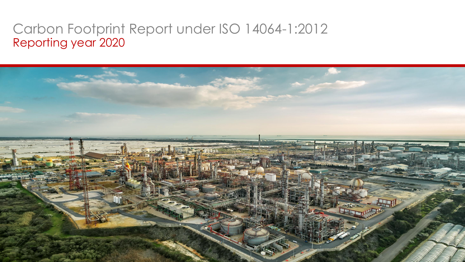## Carbon Footprint Report under ISO 14064-1:2012 Reporting year 2020